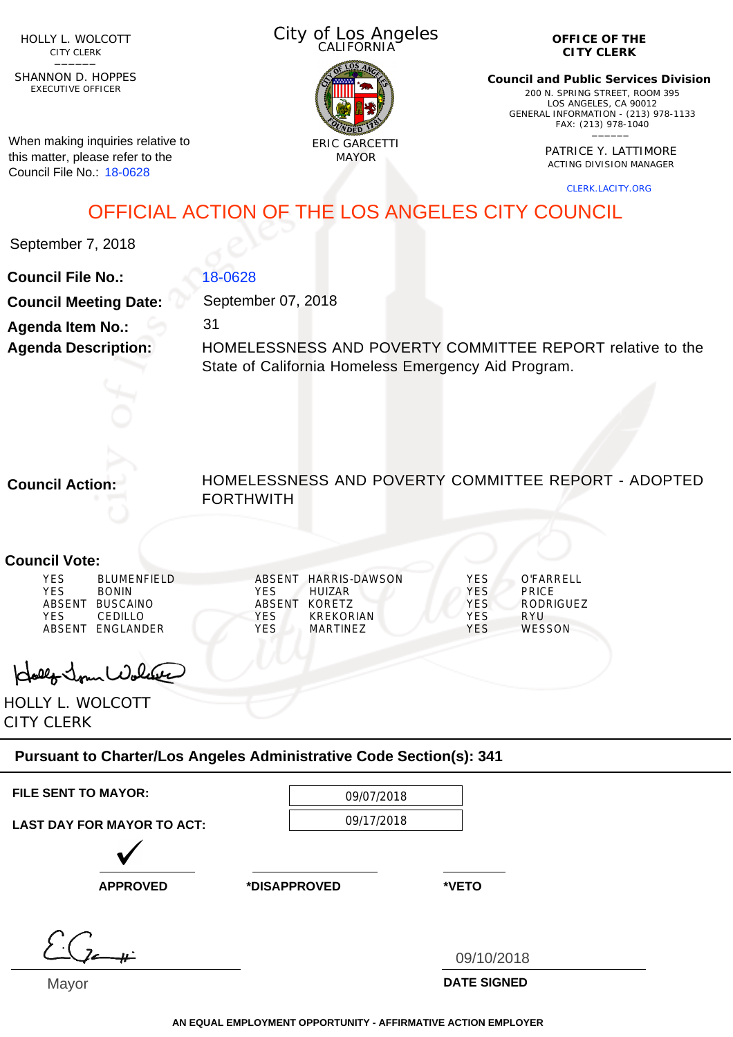HOLLY L. WOLCOTT CITY CLERK<br>—————

EXECUTIVE OFFICER SHANNON D. HOPPES

When making inquiries relative to this matter, please refer to the Council File No.: 18-0628

City of Los Angeles CALIFORNIA



**OFFICE OF THE CITY CLERK**

**Council and Public Services Division** 200 N. SPRING STREET, ROOM 395 LOS ANGELES, CA 90012 GENERAL INFORMATION - (213) 978-1133 FAX: (213) 978-1040 \_\_\_\_\_\_

> PATRICE Y. LATTIMORE ACTING DIVISION MANAGER

> > CLERK.LACITY.ORG

## OFFICIAL ACTION OF THE LOS ANGELES CITY COUNCIL

September 7, 2018

| <b>Council File No.:</b>     | 18-0628                                                   |
|------------------------------|-----------------------------------------------------------|
| <b>Council Meeting Date:</b> | September 07, 2018                                        |
| <b>Agenda Item No.:</b>      | 31                                                        |
| <b>Agenda Description:</b>   | HOMELESSNESS AND POVERTY COMMITTEE REPORT relative to the |
|                              | State of California Homeless Emergency Aid Program.       |
|                              |                                                           |

**Council Action:**

HOMELESSNESS AND POVERTY COMMITTEE REPORT - ADOPTED FORTHWITH

## **Council Vote:**

| YES<br>YES<br>YES<br>ARSENT | <b>BLUMENFIFLD</b><br><b>BONIN</b><br>ABSENT BUSCAINO<br>CEDILLO.<br>FNGI ANDFR | YFS<br>ABSENT<br><b>YES</b><br>YFS | ABSENT HARRIS-DAWSON<br>HUIZAR.<br>KORFTZ<br>KREKORIAN<br>MARTINF7 | YES<br><b>YES</b><br>YFS.<br>YFS<br>YFS | O'FARRFI I<br><b>PRICE</b><br><b>RODRIGUEZ</b><br>RYU<br><b>WESSON</b> |
|-----------------------------|---------------------------------------------------------------------------------|------------------------------------|--------------------------------------------------------------------|-----------------------------------------|------------------------------------------------------------------------|
|-----------------------------|---------------------------------------------------------------------------------|------------------------------------|--------------------------------------------------------------------|-----------------------------------------|------------------------------------------------------------------------|

olly Jour Wolder

HOLLY L. WOLCOTT CITY CLERK

## **Pursuant to Charter/Los Angeles Administrative Code Section(s): 341**

| <b>FILE SENT TO MAYOR:</b>        | 09/07/2018   |                    |
|-----------------------------------|--------------|--------------------|
| <b>LAST DAY FOR MAYOR TO ACT:</b> | 09/17/2018   |                    |
|                                   |              |                    |
| <b>APPROVED</b>                   | *DISAPPROVED | *VETO              |
|                                   |              |                    |
|                                   |              | 09/10/2018         |
| Mayor                             |              | <b>DATE SIGNED</b> |

**AN EQUAL EMPLOYMENT OPPORTUNITY - AFFIRMATIVE ACTION EMPLOYER**